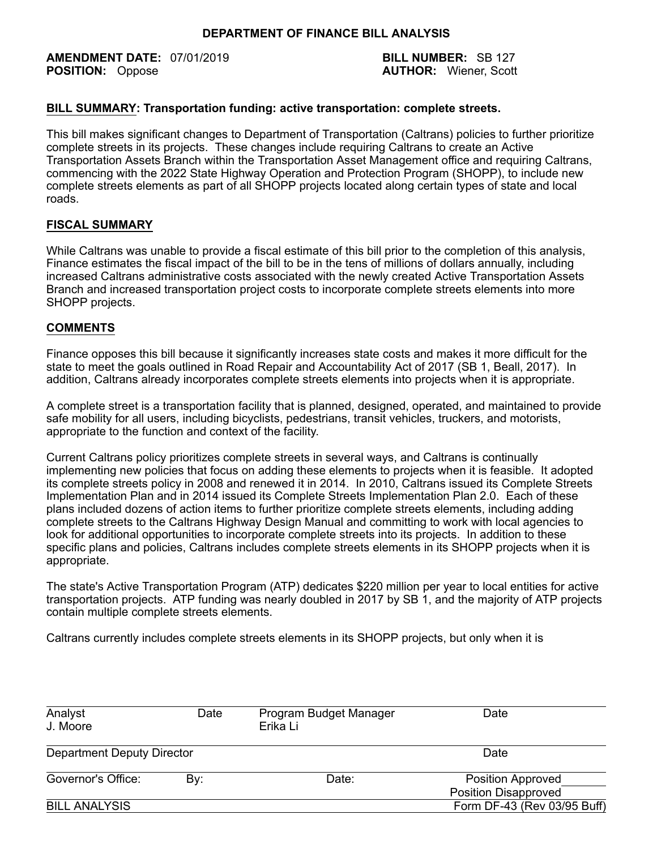#### **DEPARTMENT OF FINANCE BILL ANALYSIS**

**AMENDMENT DATE:** 07/01/2019 **BILL NUMBER:** SB 127<br> **POSITION:** Oppose **BILL NUMBER:** Scott

**AUTHOR: Wiener, Scott** 

# **BILL SUMMARY: Transportation funding: active transportation: complete streets.**

This bill makes significant changes to Department of Transportation (Caltrans) policies to further prioritize complete streets in its projects. These changes include requiring Caltrans to create an Active Transportation Assets Branch within the Transportation Asset Management office and requiring Caltrans, commencing with the 2022 State Highway Operation and Protection Program (SHOPP), to include new complete streets elements as part of all SHOPP projects located along certain types of state and local roads.

# **FISCAL SUMMARY**

While Caltrans was unable to provide a fiscal estimate of this bill prior to the completion of this analysis, Finance estimates the fiscal impact of the bill to be in the tens of millions of dollars annually, including increased Caltrans administrative costs associated with the newly created Active Transportation Assets Branch and increased transportation project costs to incorporate complete streets elements into more SHOPP projects.

# **COMMENTS**

Finance opposes this bill because it significantly increases state costs and makes it more difficult for the state to meet the goals outlined in Road Repair and Accountability Act of 2017 (SB 1, Beall, 2017). In addition, Caltrans already incorporates complete streets elements into projects when it is appropriate.

A complete street is a transportation facility that is planned, designed, operated, and maintained to provide safe mobility for all users, including bicyclists, pedestrians, transit vehicles, truckers, and motorists, appropriate to the function and context of the facility.

Current Caltrans policy prioritizes complete streets in several ways, and Caltrans is continually implementing new policies that focus on adding these elements to projects when it is feasible. It adopted its complete streets policy in 2008 and renewed it in 2014. In 2010, Caltrans issued its Complete Streets Implementation Plan and in 2014 issued its Complete Streets Implementation Plan 2.0. Each of these plans included dozens of action items to further prioritize complete streets elements, including adding complete streets to the Caltrans Highway Design Manual and committing to work with local agencies to look for additional opportunities to incorporate complete streets into its projects. In addition to these specific plans and policies, Caltrans includes complete streets elements in its SHOPP projects when it is appropriate.

The state's Active Transportation Program (ATP) dedicates \$220 million per year to local entities for active transportation projects. ATP funding was nearly doubled in 2017 by SB 1, and the majority of ATP projects contain multiple complete streets elements.

Caltrans currently includes complete streets elements in its SHOPP projects, but only when it is

| Analyst<br>J. Moore        | Date | Program Budget Manager<br>Erika Li | Date                                                    |  |
|----------------------------|------|------------------------------------|---------------------------------------------------------|--|
| Department Deputy Director |      | Date                               |                                                         |  |
| Governor's Office:         | By:  | Date:                              | <b>Position Approved</b><br><b>Position Disapproved</b> |  |
| <b>BILL ANALYSIS</b>       |      |                                    | Form DF-43 (Rev 03/95 Buff)                             |  |